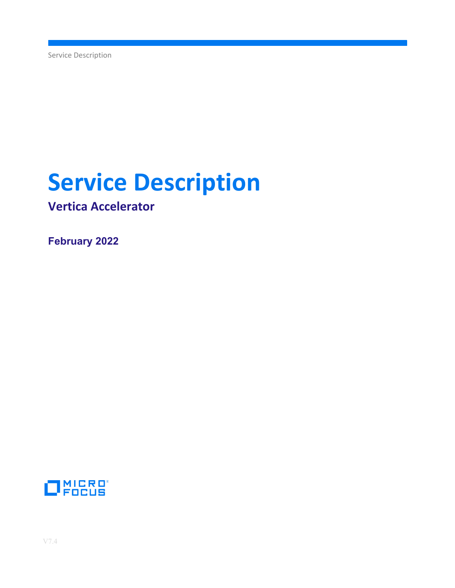Service Description

# **Service Description**

**Vertica Accelerator**

**February 2022**

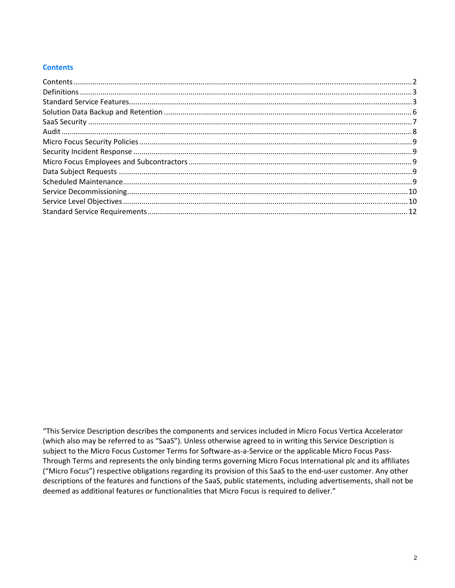## **Contents**

"This Service Description describes the components and services included in Micro Focus Vertica Accelerator (which also may be referred to as "SaaS"). Unless otherwise agreed to in writing this Service Description is subject to the Micro Focus Customer Terms for Software-as-a-Service or the applicable Micro Focus Pass-Through Terms and represents the only binding terms governing Micro Focus International plc and its affiliates ("Micro Focus") respective obligations regarding its provision of this SaaS to the end‐user customer. Any other descriptions of the features and functions of the SaaS, public statements, including advertisements, shall not be deemed as additional features or functionalities that Micro Focus is required to deliver."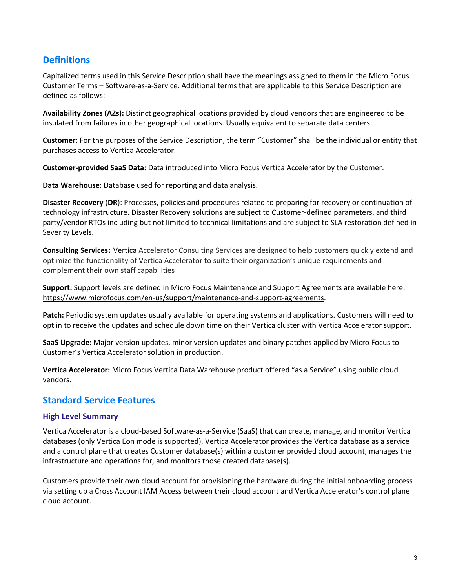# **Definitions**

Capitalized terms used in this Service Description shall have the meanings assigned to them in the Micro Focus Customer Terms – Software‐as‐a‐Service. Additional terms that are applicable to this Service Description are defined as follows:

**Availability Zones (AZs):** Distinct geographical locations provided by cloud vendors that are engineered to be insulated from failures in other geographical locations. Usually equivalent to separate data centers.

**Customer**: For the purposes of the Service Description, the term "Customer" shall be the individual or entity that purchases access to Vertica Accelerator.

**Customer‐provided SaaS Data:** Data introduced into Micro Focus Vertica Accelerator by the Customer.

**Data Warehouse**: Database used for reporting and data analysis.

**Disaster Recovery** (**DR**): Processes, policies and procedures related to preparing for recovery or continuation of technology infrastructure. Disaster Recovery solutions are subject to Customer‐defined parameters, and third party/vendor RTOs including but not limited to technical limitations and are subject to SLA restoration defined in Severity Levels.

**Consulting Services:** Vertica Accelerator Consulting Services are designed to help customers quickly extend and optimize the functionality of Vertica Accelerator to suite their organization's unique requirements and complement their own staff capabilities

**Support:** Support levels are defined in Micro Focus Maintenance and Support Agreements are available here: https://www.microfocus.com/en-us/support/maintenance-and-support-agreements.

**Patch:** Periodic system updates usually available for operating systems and applications. Customers will need to opt in to receive the updates and schedule down time on their Vertica cluster with Vertica Accelerator support.

**SaaS Upgrade:** Major version updates, minor version updates and binary patches applied by Micro Focus to Customer's Vertica Accelerator solution in production.

**Vertica Accelerator:** Micro Focus Vertica Data Warehouse product offered "as a Service" using public cloud vendors.

# **Standard Service Features**

# **High Level Summary**

Vertica Accelerator is a cloud‐based Software‐as‐a‐Service (SaaS) that can create, manage, and monitor Vertica databases (only Vertica Eon mode is supported). Vertica Accelerator provides the Vertica database as a service and a control plane that creates Customer database(s) within a customer provided cloud account, manages the infrastructure and operations for, and monitors those created database(s).

Customers provide their own cloud account for provisioning the hardware during the initial onboarding process via setting up a Cross Account IAM Access between their cloud account and Vertica Accelerator's control plane cloud account.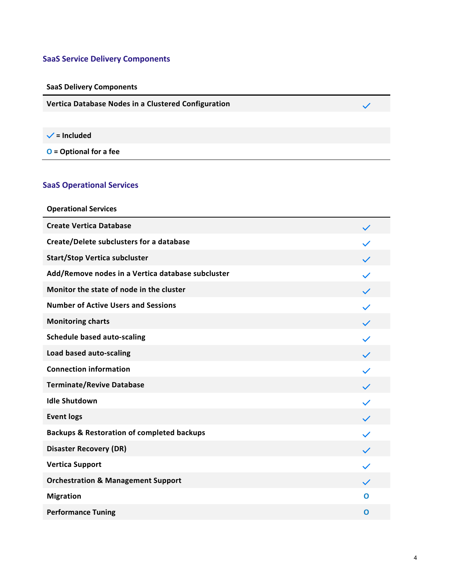# **SaaS Service Delivery Components**

# **SaaS Delivery Components**

**Vertica Database Nodes in a Clustered Configuration**

# **= Included**

**O = Optional for a fee**

# **SaaS Operational Services**

| <b>Operational Services</b>                           |              |
|-------------------------------------------------------|--------------|
| <b>Create Vertica Database</b>                        | $\checkmark$ |
| Create/Delete subclusters for a database              |              |
| <b>Start/Stop Vertica subcluster</b>                  | $\checkmark$ |
| Add/Remove nodes in a Vertica database subcluster     | $\checkmark$ |
| Monitor the state of node in the cluster              | $\checkmark$ |
| <b>Number of Active Users and Sessions</b>            |              |
| <b>Monitoring charts</b>                              | $\checkmark$ |
| <b>Schedule based auto-scaling</b>                    |              |
| Load based auto-scaling                               | $\checkmark$ |
| <b>Connection information</b>                         |              |
| <b>Terminate/Revive Database</b>                      | $\checkmark$ |
| <b>Idle Shutdown</b>                                  |              |
| <b>Event logs</b>                                     | $\checkmark$ |
| <b>Backups &amp; Restoration of completed backups</b> | $\checkmark$ |
| <b>Disaster Recovery (DR)</b>                         | $\checkmark$ |
| <b>Vertica Support</b>                                |              |
| <b>Orchestration &amp; Management Support</b>         | $\checkmark$ |
| <b>Migration</b>                                      | Ω            |
| <b>Performance Tuning</b>                             | $\mathbf 0$  |

 $\checkmark$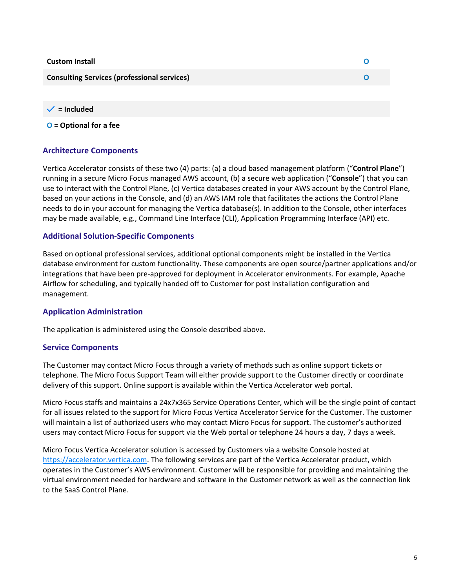| <b>Custom Install</b>                              |  |
|----------------------------------------------------|--|
| <b>Consulting Services (professional services)</b> |  |
|                                                    |  |

 $\checkmark$  = **Included** 

**O = Optional for a fee** 

### **Architecture Components**

Vertica Accelerator consists of these two (4) parts: (a) a cloud based management platform ("**Control Plane**") running in a secure Micro Focus managed AWS account, (b) a secure web application ("**Console**") that you can use to interact with the Control Plane, (c) Vertica databases created in your AWS account by the Control Plane, based on your actions in the Console, and (d) an AWS IAM role that facilitates the actions the Control Plane needs to do in your account for managing the Vertica database(s). In addition to the Console, other interfaces may be made available, e.g., Command Line Interface (CLI), Application Programming Interface (API) etc.

#### **Additional Solution‐Specific Components**

Based on optional professional services, additional optional components might be installed in the Vertica database environment for custom functionality. These components are open source/partner applications and/or integrations that have been pre‐approved for deployment in Accelerator environments. For example, Apache Airflow for scheduling, and typically handed off to Customer for post installation configuration and management.

#### **Application Administration**

The application is administered using the Console described above.

#### **Service Components**

The Customer may contact Micro Focus through a variety of methods such as online support tickets or telephone. The Micro Focus Support Team will either provide support to the Customer directly or coordinate delivery of this support. Online support is available within the Vertica Accelerator web portal.

Micro Focus staffs and maintains a 24x7x365 Service Operations Center, which will be the single point of contact for all issues related to the support for Micro Focus Vertica Accelerator Service for the Customer. The customer will maintain a list of authorized users who may contact Micro Focus for support. The customer's authorized users may contact Micro Focus for support via the Web portal or telephone 24 hours a day, 7 days a week.

Micro Focus Vertica Accelerator solution is accessed by Customers via a website Console hosted at https://accelerator.vertica.com. The following services are part of the Vertica Accelerator product, which operates in the Customer's AWS environment. Customer will be responsible for providing and maintaining the virtual environment needed for hardware and software in the Customer network as well as the connection link to the SaaS Control Plane.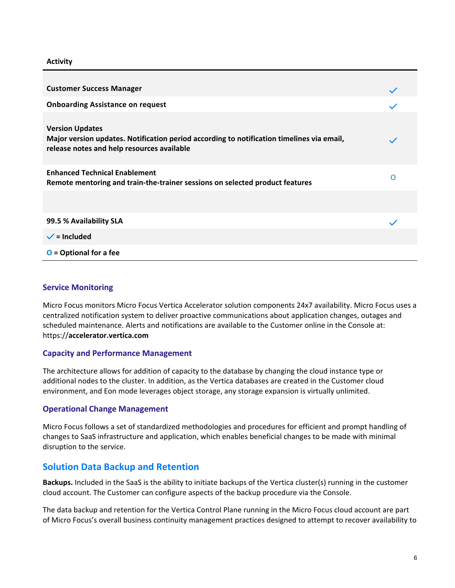**Activity**

| <b>Customer Success Manager</b>                                                                                                                                   |   |
|-------------------------------------------------------------------------------------------------------------------------------------------------------------------|---|
| <b>Onboarding Assistance on request</b>                                                                                                                           |   |
| <b>Version Updates</b><br>Major version updates. Notification period according to notification timelines via email,<br>release notes and help resources available |   |
| <b>Enhanced Technical Enablement</b><br>Remote mentoring and train-the-trainer sessions on selected product features                                              | O |
|                                                                                                                                                                   |   |
| 99.5 % Availability SLA                                                                                                                                           |   |
| $\checkmark$ = Included                                                                                                                                           |   |
| $O =$ Optional for a fee                                                                                                                                          |   |

## **Service Monitoring**

Micro Focus monitors Micro Focus Vertica Accelerator solution components 24x7 availability. Micro Focus uses a centralized notification system to deliver proactive communications about application changes, outages and scheduled maintenance. Alerts and notifications are available to the Customer online in the Console at: https://**accelerator.vertica.com**

#### **Capacity and Performance Management**

The architecture allows for addition of capacity to the database by changing the cloud instance type or additional nodes to the cluster. In addition, as the Vertica databases are created in the Customer cloud environment, and Eon mode leverages object storage, any storage expansion is virtually unlimited.

#### **Operational Change Management**

Micro Focus follows a set of standardized methodologies and procedures for efficient and prompt handling of changes to SaaS infrastructure and application, which enables beneficial changes to be made with minimal disruption to the service.

# **Solution Data Backup and Retention**

**Backups.** Included in the SaaS is the ability to initiate backups of the Vertica cluster(s) running in the customer cloud account. The Customer can configure aspects of the backup procedure via the Console.

The data backup and retention for the Vertica Control Plane running in the Micro Focus cloud account are part of Micro Focus's overall business continuity management practices designed to attempt to recover availability to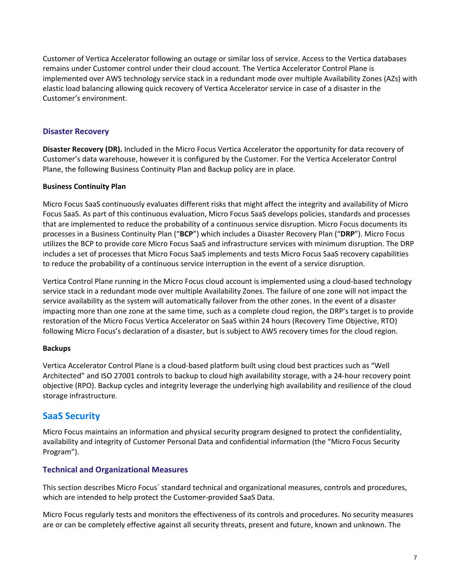Customer of Vertica Accelerator following an outage or similar loss of service. Access to the Vertica databases remains under Customer control under their cloud account. The Vertica Accelerator Control Plane is implemented over AWS technology service stack in a redundant mode over multiple Availability Zones (AZs) with elastic load balancing allowing quick recovery of Vertica Accelerator service in case of a disaster in the Customer's environment.

# **Disaster Recovery**

**Disaster Recovery (DR).** Included in the Micro Focus Vertica Accelerator the opportunity for data recovery of Customer's data warehouse, however it is configured by the Customer. For the Vertica Accelerator Control Plane, the following Business Continuity Plan and Backup policy are in place.

# **Business Continuity Plan**

Micro Focus SaaS continuously evaluates different risks that might affect the integrity and availability of Micro Focus SaaS. As part of this continuous evaluation, Micro Focus SaaS develops policies, standards and processes that are implemented to reduce the probability of a continuous service disruption. Micro Focus documents its processes in a Business Continuity Plan ("**BCP**") which includes a Disaster Recovery Plan ("**DRP**"). Micro Focus utilizes the BCP to provide core Micro Focus SaaS and infrastructure services with minimum disruption. The DRP includes a set of processes that Micro Focus SaaS implements and tests Micro Focus SaaS recovery capabilities to reduce the probability of a continuous service interruption in the event of a service disruption.

Vertica Control Plane running in the Micro Focus cloud account is implemented using a cloud‐based technology service stack in a redundant mode over multiple Availability Zones. The failure of one zone will not impact the service availability as the system will automatically failover from the other zones. In the event of a disaster impacting more than one zone at the same time, such as a complete cloud region, the DRP's target is to provide restoration of the Micro Focus Vertica Accelerator on SaaS within 24 hours (Recovery Time Objective, RTO) following Micro Focus's declaration of a disaster, but is subject to AWS recovery times for the cloud region.

#### **Backups**

Vertica Accelerator Control Plane is a cloud‐based platform built using cloud best practices such as "Well Architected" and ISO 27001 controls to backup to cloud high availability storage, with a 24‐hour recovery point objective (RPO). Backup cycles and integrity leverage the underlying high availability and resilience of the cloud storage infrastructure.

# **SaaS Security**

Micro Focus maintains an information and physical security program designed to protect the confidentiality, availability and integrity of Customer Personal Data and confidential information (the "Micro Focus Security Program").

# **Technical and Organizational Measures**

This section describes Micro Focus´ standard technical and organizational measures, controls and procedures, which are intended to help protect the Customer‐provided SaaS Data.

Micro Focus regularly tests and monitors the effectiveness of its controls and procedures. No security measures are or can be completely effective against all security threats, present and future, known and unknown. The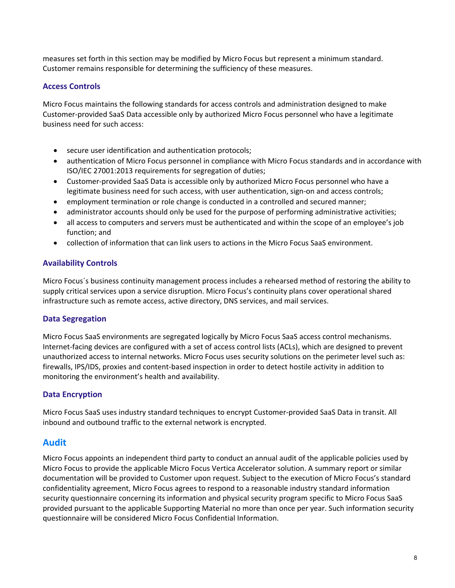measures set forth in this section may be modified by Micro Focus but represent a minimum standard. Customer remains responsible for determining the sufficiency of these measures.

# **Access Controls**

Micro Focus maintains the following standards for access controls and administration designed to make Customer‐provided SaaS Data accessible only by authorized Micro Focus personnel who have a legitimate business need for such access:

- secure user identification and authentication protocols;
- authentication of Micro Focus personnel in compliance with Micro Focus standards and in accordance with ISO/IEC 27001:2013 requirements for segregation of duties;
- Customer‐provided SaaS Data is accessible only by authorized Micro Focus personnel who have a legitimate business need for such access, with user authentication, sign-on and access controls;
- employment termination or role change is conducted in a controlled and secured manner;
- administrator accounts should only be used for the purpose of performing administrative activities;
- all access to computers and servers must be authenticated and within the scope of an employee's job function; and
- collection of information that can link users to actions in the Micro Focus SaaS environment.

# **Availability Controls**

Micro Focus´s business continuity management process includes a rehearsed method of restoring the ability to supply critical services upon a service disruption. Micro Focus's continuity plans cover operational shared infrastructure such as remote access, active directory, DNS services, and mail services.

# **Data Segregation**

Micro Focus SaaS environments are segregated logically by Micro Focus SaaS access control mechanisms. Internet‐facing devices are configured with a set of access control lists (ACLs), which are designed to prevent unauthorized access to internal networks. Micro Focus uses security solutions on the perimeter level such as: firewalls, IPS/IDS, proxies and content‐based inspection in order to detect hostile activity in addition to monitoring the environment's health and availability.

# **Data Encryption**

Micro Focus SaaS uses industry standard techniques to encrypt Customer‐provided SaaS Data in transit. All inbound and outbound traffic to the external network is encrypted.

# **Audit**

Micro Focus appoints an independent third party to conduct an annual audit of the applicable policies used by Micro Focus to provide the applicable Micro Focus Vertica Accelerator solution. A summary report or similar documentation will be provided to Customer upon request. Subject to the execution of Micro Focus's standard confidentiality agreement, Micro Focus agrees to respond to a reasonable industry standard information security questionnaire concerning its information and physical security program specific to Micro Focus SaaS provided pursuant to the applicable Supporting Material no more than once per year. Such information security questionnaire will be considered Micro Focus Confidential Information.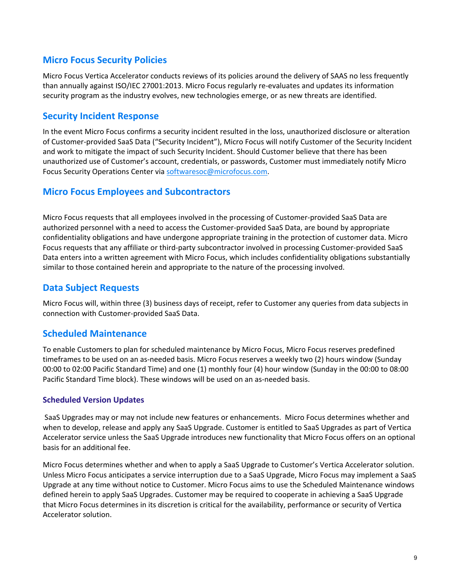# **Micro Focus Security Policies**

Micro Focus Vertica Accelerator conducts reviews of its policies around the delivery of SAAS no less frequently than annually against ISO/IEC 27001:2013. Micro Focus regularly re‐evaluates and updates its information security program as the industry evolves, new technologies emerge, or as new threats are identified.

# **Security Incident Response**

In the event Micro Focus confirms a security incident resulted in the loss, unauthorized disclosure or alteration of Customer‐provided SaaS Data ("Security Incident"), Micro Focus will notify Customer of the Security Incident and work to mitigate the impact of such Security Incident. Should Customer believe that there has been unauthorized use of Customer's account, credentials, or passwords, Customer must immediately notify Micro Focus Security Operations Center via softwaresoc@microfocus.com.

# **Micro Focus Employees and Subcontractors**

Micro Focus requests that all employees involved in the processing of Customer‐provided SaaS Data are authorized personnel with a need to access the Customer‐provided SaaS Data, are bound by appropriate confidentiality obligations and have undergone appropriate training in the protection of customer data. Micro Focus requests that any affiliate or third-party subcontractor involved in processing Customer-provided SaaS Data enters into a written agreement with Micro Focus, which includes confidentiality obligations substantially similar to those contained herein and appropriate to the nature of the processing involved.

# **Data Subject Requests**

Micro Focus will, within three (3) business days of receipt, refer to Customer any queries from data subjects in connection with Customer‐provided SaaS Data.

# **Scheduled Maintenance**

To enable Customers to plan for scheduled maintenance by Micro Focus, Micro Focus reserves predefined timeframes to be used on an as‐needed basis. Micro Focus reserves a weekly two (2) hours window (Sunday 00:00 to 02:00 Pacific Standard Time) and one (1) monthly four (4) hour window (Sunday in the 00:00 to 08:00 Pacific Standard Time block). These windows will be used on an as-needed basis.

# **Scheduled Version Updates**

SaaS Upgrades may or may not include new features or enhancements. Micro Focus determines whether and when to develop, release and apply any SaaS Upgrade. Customer is entitled to SaaS Upgrades as part of Vertica Accelerator service unless the SaaS Upgrade introduces new functionality that Micro Focus offers on an optional basis for an additional fee.

Micro Focus determines whether and when to apply a SaaS Upgrade to Customer's Vertica Accelerator solution. Unless Micro Focus anticipates a service interruption due to a SaaS Upgrade, Micro Focus may implement a SaaS Upgrade at any time without notice to Customer. Micro Focus aims to use the Scheduled Maintenance windows defined herein to apply SaaS Upgrades. Customer may be required to cooperate in achieving a SaaS Upgrade that Micro Focus determines in its discretion is critical for the availability, performance or security of Vertica Accelerator solution.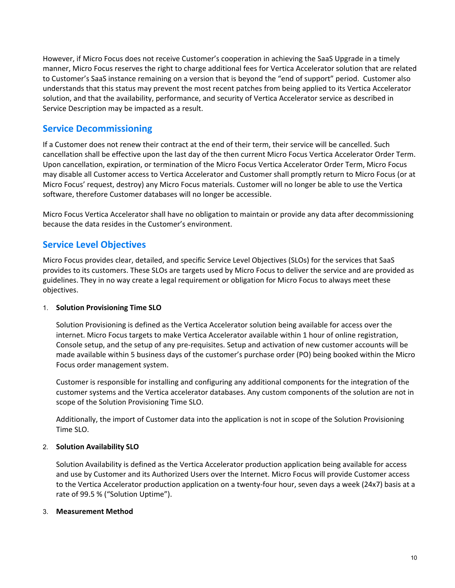However, if Micro Focus does not receive Customer's cooperation in achieving the SaaS Upgrade in a timely manner, Micro Focus reserves the right to charge additional fees for Vertica Accelerator solution that are related to Customer's SaaS instance remaining on a version that is beyond the "end of support" period. Customer also understands that this status may prevent the most recent patches from being applied to its Vertica Accelerator solution, and that the availability, performance, and security of Vertica Accelerator service as described in Service Description may be impacted as a result.

# **Service Decommissioning**

If a Customer does not renew their contract at the end of their term, their service will be cancelled. Such cancellation shall be effective upon the last day of the then current Micro Focus Vertica Accelerator Order Term. Upon cancellation, expiration, or termination of the Micro Focus Vertica Accelerator Order Term, Micro Focus may disable all Customer access to Vertica Accelerator and Customer shall promptly return to Micro Focus (or at Micro Focus' request, destroy) any Micro Focus materials. Customer will no longer be able to use the Vertica software, therefore Customer databases will no longer be accessible.

Micro Focus Vertica Accelerator shall have no obligation to maintain or provide any data after decommissioning because the data resides in the Customer's environment.

# **Service Level Objectives**

Micro Focus provides clear, detailed, and specific Service Level Objectives (SLOs) for the services that SaaS provides to its customers. These SLOs are targets used by Micro Focus to deliver the service and are provided as guidelines. They in no way create a legal requirement or obligation for Micro Focus to always meet these objectives.

# 1. **Solution Provisioning Time SLO**

Solution Provisioning is defined as the Vertica Accelerator solution being available for access over the internet. Micro Focus targets to make Vertica Accelerator available within 1 hour of online registration, Console setup, and the setup of any pre‐requisites. Setup and activation of new customer accounts will be made available within 5 business days of the customer's purchase order (PO) being booked within the Micro Focus order management system.

Customer is responsible for installing and configuring any additional components for the integration of the customer systems and the Vertica accelerator databases. Any custom components of the solution are not in scope of the Solution Provisioning Time SLO.

Additionally, the import of Customer data into the application is not in scope of the Solution Provisioning Time SLO.

# 2. **Solution Availability SLO**

Solution Availability is defined as the Vertica Accelerator production application being available for access and use by Customer and its Authorized Users over the Internet. Micro Focus will provide Customer access to the Vertica Accelerator production application on a twenty‐four hour, seven days a week (24x7) basis at a rate of 99.5 % ("Solution Uptime").

# 3. **Measurement Method**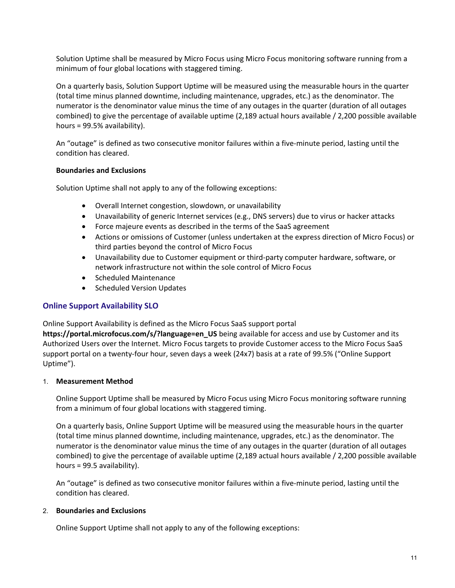Solution Uptime shall be measured by Micro Focus using Micro Focus monitoring software running from a minimum of four global locations with staggered timing.

On a quarterly basis, Solution Support Uptime will be measured using the measurable hours in the quarter (total time minus planned downtime, including maintenance, upgrades, etc.) as the denominator. The numerator is the denominator value minus the time of any outages in the quarter (duration of all outages combined) to give the percentage of available uptime (2,189 actual hours available / 2,200 possible available hours = 99.5% availability).

An "outage" is defined as two consecutive monitor failures within a five-minute period, lasting until the condition has cleared.

## **Boundaries and Exclusions**

Solution Uptime shall not apply to any of the following exceptions:

- Overall Internet congestion, slowdown, or unavailability
- Unavailability of generic Internet services (e.g., DNS servers) due to virus or hacker attacks
- Force majeure events as described in the terms of the SaaS agreement
- Actions or omissions of Customer (unless undertaken at the express direction of Micro Focus) or third parties beyond the control of Micro Focus
- Unavailability due to Customer equipment or third‐party computer hardware, software, or network infrastructure not within the sole control of Micro Focus
- Scheduled Maintenance
- Scheduled Version Updates

# **Online Support Availability SLO**

Online Support Availability is defined as the Micro Focus SaaS support portal

**https://portal.microfocus.com/s/?language=en\_US** being available for access and use by Customer and its Authorized Users over the Internet. Micro Focus targets to provide Customer access to the Micro Focus SaaS support portal on a twenty‐four hour, seven days a week (24x7) basis at a rate of 99.5% ("Online Support Uptime").

#### 1. **Measurement Method**

Online Support Uptime shall be measured by Micro Focus using Micro Focus monitoring software running from a minimum of four global locations with staggered timing.

On a quarterly basis, Online Support Uptime will be measured using the measurable hours in the quarter (total time minus planned downtime, including maintenance, upgrades, etc.) as the denominator. The numerator is the denominator value minus the time of any outages in the quarter (duration of all outages combined) to give the percentage of available uptime (2,189 actual hours available / 2,200 possible available hours = 99.5 availability).

An "outage" is defined as two consecutive monitor failures within a five-minute period, lasting until the condition has cleared.

## 2. **Boundaries and Exclusions**

Online Support Uptime shall not apply to any of the following exceptions: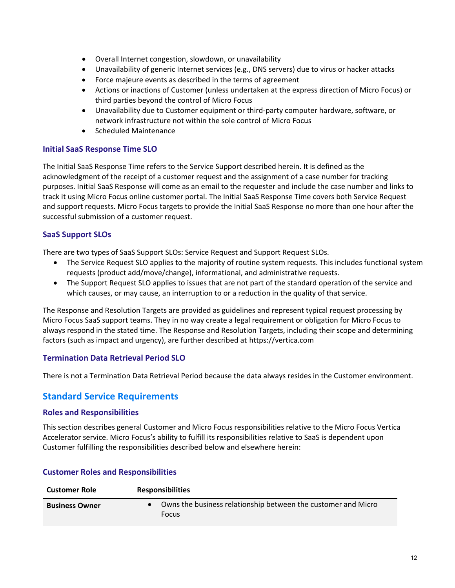- Overall Internet congestion, slowdown, or unavailability
- Unavailability of generic Internet services (e.g., DNS servers) due to virus or hacker attacks
- Force majeure events as described in the terms of agreement
- Actions or inactions of Customer (unless undertaken at the express direction of Micro Focus) or third parties beyond the control of Micro Focus
- Unavailability due to Customer equipment or third‐party computer hardware, software, or network infrastructure not within the sole control of Micro Focus
- Scheduled Maintenance

# **Initial SaaS Response Time SLO**

The Initial SaaS Response Time refers to the Service Support described herein. It is defined as the acknowledgment of the receipt of a customer request and the assignment of a case number for tracking purposes. Initial SaaS Response will come as an email to the requester and include the case number and links to track it using Micro Focus online customer portal. The Initial SaaS Response Time covers both Service Request and support requests. Micro Focus targets to provide the Initial SaaS Response no more than one hour after the successful submission of a customer request.

# **SaaS Support SLOs**

There are two types of SaaS Support SLOs: Service Request and Support Request SLOs.

- The Service Request SLO applies to the majority of routine system requests. This includes functional system requests (product add/move/change), informational, and administrative requests.
- The Support Request SLO applies to issues that are not part of the standard operation of the service and which causes, or may cause, an interruption to or a reduction in the quality of that service.

The Response and Resolution Targets are provided as guidelines and represent typical request processing by Micro Focus SaaS support teams. They in no way create a legal requirement or obligation for Micro Focus to always respond in the stated time. The Response and Resolution Targets, including their scope and determining factors (such as impact and urgency), are further described at https://vertica.com

# **Termination Data Retrieval Period SLO**

There is not a Termination Data Retrieval Period because the data always resides in the Customer environment.

# **Standard Service Requirements**

#### **Roles and Responsibilities**

This section describes general Customer and Micro Focus responsibilities relative to the Micro Focus Vertica Accelerator service. Micro Focus's ability to fulfill its responsibilities relative to SaaS is dependent upon Customer fulfilling the responsibilities described below and elsewhere herein:

| <b>Customer Role</b>  | <b>Responsibilities</b>                                                       |  |
|-----------------------|-------------------------------------------------------------------------------|--|
| <b>Business Owner</b> | Owns the business relationship between the customer and Micro<br><b>Focus</b> |  |

#### **Customer Roles and Responsibilities**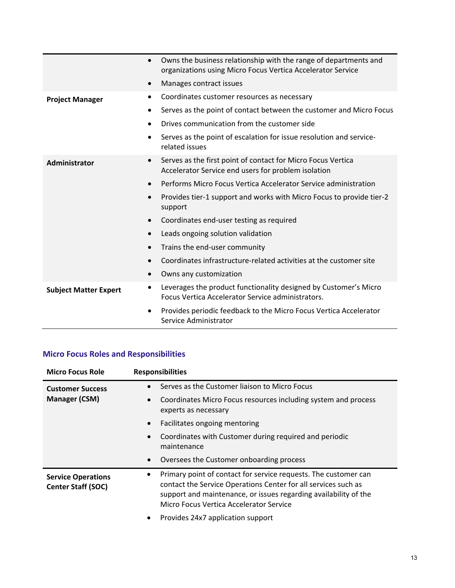|                              | $\bullet$ | Owns the business relationship with the range of departments and<br>organizations using Micro Focus Vertica Accelerator Service |
|------------------------------|-----------|---------------------------------------------------------------------------------------------------------------------------------|
|                              | $\bullet$ | Manages contract issues                                                                                                         |
| <b>Project Manager</b>       |           | Coordinates customer resources as necessary                                                                                     |
|                              | $\bullet$ | Serves as the point of contact between the customer and Micro Focus                                                             |
|                              |           | Drives communication from the customer side                                                                                     |
|                              | $\bullet$ | Serves as the point of escalation for issue resolution and service-<br>related issues                                           |
| Administrator                | $\bullet$ | Serves as the first point of contact for Micro Focus Vertica<br>Accelerator Service end users for problem isolation             |
|                              | $\bullet$ | Performs Micro Focus Vertica Accelerator Service administration                                                                 |
|                              |           | Provides tier-1 support and works with Micro Focus to provide tier-2<br>support                                                 |
|                              | $\bullet$ | Coordinates end-user testing as required                                                                                        |
|                              |           | Leads ongoing solution validation                                                                                               |
|                              |           | Trains the end-user community                                                                                                   |
|                              |           | Coordinates infrastructure-related activities at the customer site                                                              |
|                              | $\bullet$ | Owns any customization                                                                                                          |
| <b>Subject Matter Expert</b> |           | Leverages the product functionality designed by Customer's Micro<br>Focus Vertica Accelerator Service administrators.           |
|                              |           | Provides periodic feedback to the Micro Focus Vertica Accelerator<br>Service Administrator                                      |

# **Micro Focus Roles and Responsibilities**

| <b>Micro Focus Role</b>                                | <b>Responsibilities</b>                                                                                                                                                                                                                               |  |
|--------------------------------------------------------|-------------------------------------------------------------------------------------------------------------------------------------------------------------------------------------------------------------------------------------------------------|--|
| <b>Customer Success</b>                                | Serves as the Customer liaison to Micro Focus<br>$\bullet$                                                                                                                                                                                            |  |
| <b>Manager (CSM)</b>                                   | Coordinates Micro Focus resources including system and process<br>$\bullet$<br>experts as necessary                                                                                                                                                   |  |
|                                                        | Facilitates ongoing mentoring<br>$\bullet$                                                                                                                                                                                                            |  |
|                                                        | Coordinates with Customer during required and periodic<br>$\bullet$<br>maintenance                                                                                                                                                                    |  |
|                                                        | Oversees the Customer onboarding process<br>$\bullet$                                                                                                                                                                                                 |  |
| <b>Service Operations</b><br><b>Center Staff (SOC)</b> | Primary point of contact for service requests. The customer can<br>٠<br>contact the Service Operations Center for all services such as<br>support and maintenance, or issues regarding availability of the<br>Micro Focus Vertica Accelerator Service |  |
|                                                        | Provides 24x7 application support<br>٠                                                                                                                                                                                                                |  |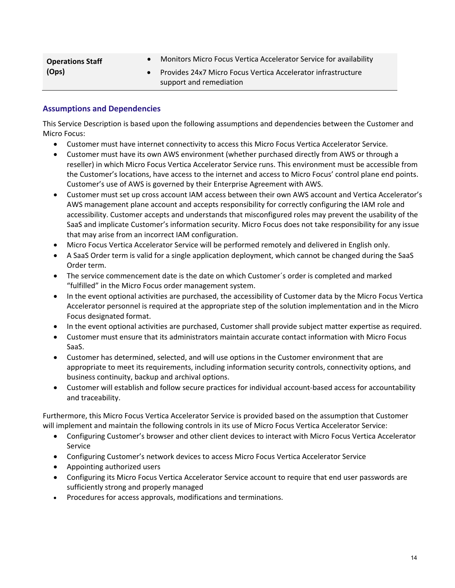| <b>Operations Staff</b> | Monitors Micro Focus Vertica Accelerator Service for availability                       |
|-------------------------|-----------------------------------------------------------------------------------------|
| (Ops)                   | Provides 24x7 Micro Focus Vertica Accelerator infrastructure<br>support and remediation |

## **Assumptions and Dependencies**

This Service Description is based upon the following assumptions and dependencies between the Customer and Micro Focus:

- Customer must have internet connectivity to access this Micro Focus Vertica Accelerator Service.
- Customer must have its own AWS environment (whether purchased directly from AWS or through a reseller) in which Micro Focus Vertica Accelerator Service runs. This environment must be accessible from the Customer's locations, have access to the internet and access to Micro Focus' control plane end points. Customer's use of AWS is governed by their Enterprise Agreement with AWS.
- Customer must set up cross account IAM access between their own AWS account and Vertica Accelerator's AWS management plane account and accepts responsibility for correctly configuring the IAM role and accessibility. Customer accepts and understands that misconfigured roles may prevent the usability of the SaaS and implicate Customer's information security. Micro Focus does not take responsibility for any issue that may arise from an incorrect IAM configuration.
- Micro Focus Vertica Accelerator Service will be performed remotely and delivered in English only.
- A SaaS Order term is valid for a single application deployment, which cannot be changed during the SaaS Order term.
- The service commencement date is the date on which Customer's order is completed and marked "fulfilled" in the Micro Focus order management system.
- In the event optional activities are purchased, the accessibility of Customer data by the Micro Focus Vertica Accelerator personnel is required at the appropriate step of the solution implementation and in the Micro Focus designated format.
- In the event optional activities are purchased, Customer shall provide subject matter expertise as required.
- Customer must ensure that its administrators maintain accurate contact information with Micro Focus SaaS.
- Customer has determined, selected, and will use options in the Customer environment that are appropriate to meet its requirements, including information security controls, connectivity options, and business continuity, backup and archival options.
- Customer will establish and follow secure practices for individual account‐based access for accountability and traceability.

Furthermore, this Micro Focus Vertica Accelerator Service is provided based on the assumption that Customer will implement and maintain the following controls in its use of Micro Focus Vertica Accelerator Service:

- Configuring Customer's browser and other client devices to interact with Micro Focus Vertica Accelerator Service
- Configuring Customer's network devices to access Micro Focus Vertica Accelerator Service
- Appointing authorized users
- Configuring its Micro Focus Vertica Accelerator Service account to require that end user passwords are sufficiently strong and properly managed
- Procedures for access approvals, modifications and terminations.